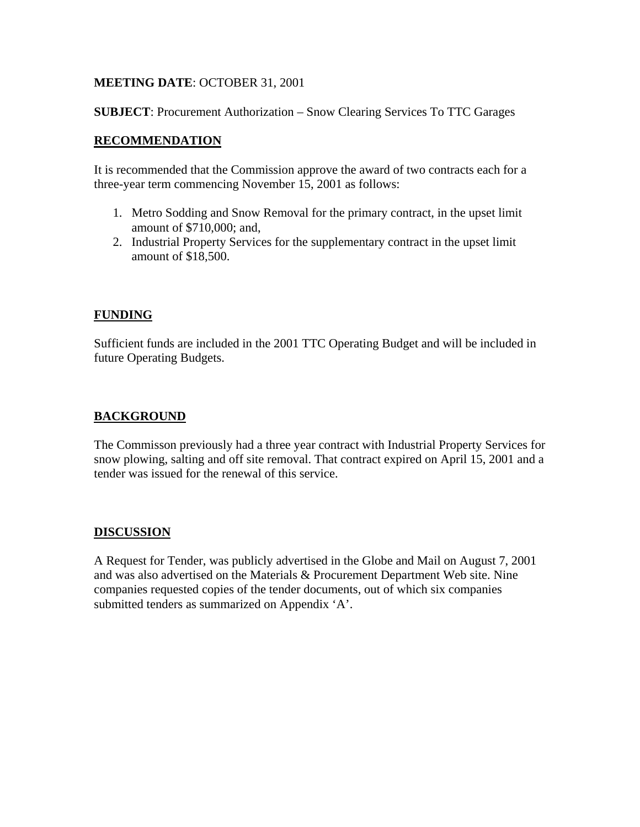## **MEETING DATE**: OCTOBER 31, 2001

**SUBJECT**: Procurement Authorization – Snow Clearing Services To TTC Garages

## **RECOMMENDATION**

It is recommended that the Commission approve the award of two contracts each for a three-year term commencing November 15, 2001 as follows:

- 1. Metro Sodding and Snow Removal for the primary contract, in the upset limit amount of \$710,000; and,
- 2. Industrial Property Services for the supplementary contract in the upset limit amount of \$18,500.

# **FUNDING**

Sufficient funds are included in the 2001 TTC Operating Budget and will be included in future Operating Budgets.

## **BACKGROUND**

The Commisson previously had a three year contract with Industrial Property Services for snow plowing, salting and off site removal. That contract expired on April 15, 2001 and a tender was issued for the renewal of this service.

## **DISCUSSION**

A Request for Tender, was publicly advertised in the Globe and Mail on August 7, 2001 and was also advertised on the Materials & Procurement Department Web site. Nine companies requested copies of the tender documents, out of which six companies submitted tenders as summarized on Appendix 'A'.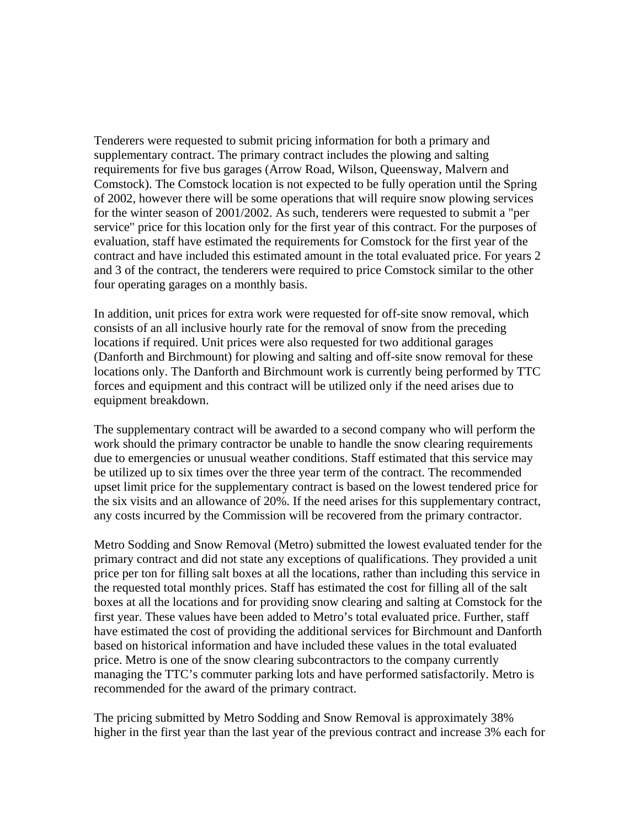Tenderers were requested to submit pricing information for both a primary and supplementary contract. The primary contract includes the plowing and salting requirements for five bus garages (Arrow Road, Wilson, Queensway, Malvern and Comstock). The Comstock location is not expected to be fully operation until the Spring of 2002, however there will be some operations that will require snow plowing services for the winter season of 2001/2002. As such, tenderers were requested to submit a "per service" price for this location only for the first year of this contract. For the purposes of evaluation, staff have estimated the requirements for Comstock for the first year of the contract and have included this estimated amount in the total evaluated price. For years 2 and 3 of the contract, the tenderers were required to price Comstock similar to the other four operating garages on a monthly basis.

In addition, unit prices for extra work were requested for off-site snow removal, which consists of an all inclusive hourly rate for the removal of snow from the preceding locations if required. Unit prices were also requested for two additional garages (Danforth and Birchmount) for plowing and salting and off-site snow removal for these locations only. The Danforth and Birchmount work is currently being performed by TTC forces and equipment and this contract will be utilized only if the need arises due to equipment breakdown.

The supplementary contract will be awarded to a second company who will perform the work should the primary contractor be unable to handle the snow clearing requirements due to emergencies or unusual weather conditions. Staff estimated that this service may be utilized up to six times over the three year term of the contract. The recommended upset limit price for the supplementary contract is based on the lowest tendered price for the six visits and an allowance of 20%. If the need arises for this supplementary contract, any costs incurred by the Commission will be recovered from the primary contractor.

Metro Sodding and Snow Removal (Metro) submitted the lowest evaluated tender for the primary contract and did not state any exceptions of qualifications. They provided a unit price per ton for filling salt boxes at all the locations, rather than including this service in the requested total monthly prices. Staff has estimated the cost for filling all of the salt boxes at all the locations and for providing snow clearing and salting at Comstock for the first year. These values have been added to Metro's total evaluated price. Further, staff have estimated the cost of providing the additional services for Birchmount and Danforth based on historical information and have included these values in the total evaluated price. Metro is one of the snow clearing subcontractors to the company currently managing the TTC's commuter parking lots and have performed satisfactorily. Metro is recommended for the award of the primary contract.

The pricing submitted by Metro Sodding and Snow Removal is approximately 38% higher in the first year than the last year of the previous contract and increase 3% each for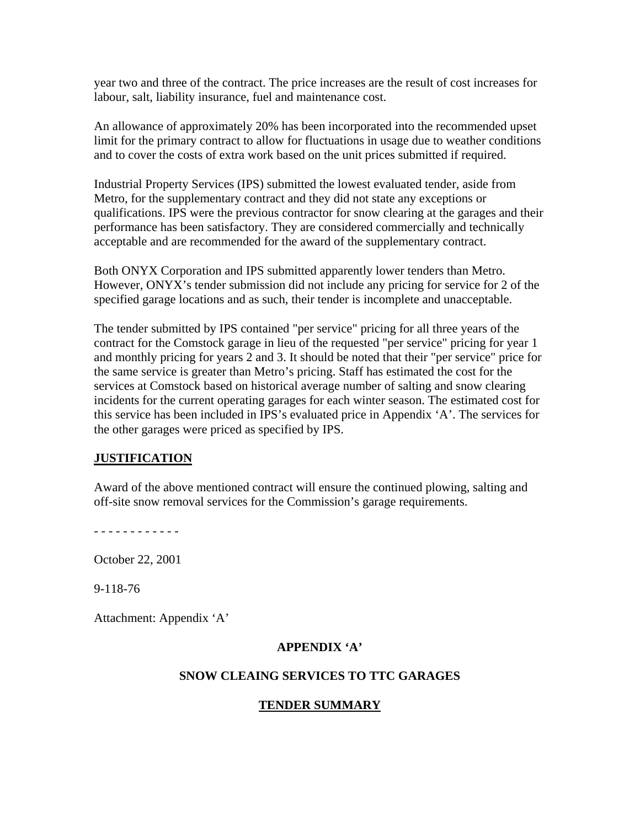year two and three of the contract. The price increases are the result of cost increases for labour, salt, liability insurance, fuel and maintenance cost.

An allowance of approximately 20% has been incorporated into the recommended upset limit for the primary contract to allow for fluctuations in usage due to weather conditions and to cover the costs of extra work based on the unit prices submitted if required.

Industrial Property Services (IPS) submitted the lowest evaluated tender, aside from Metro, for the supplementary contract and they did not state any exceptions or qualifications. IPS were the previous contractor for snow clearing at the garages and their performance has been satisfactory. They are considered commercially and technically acceptable and are recommended for the award of the supplementary contract.

Both ONYX Corporation and IPS submitted apparently lower tenders than Metro. However, ONYX's tender submission did not include any pricing for service for 2 of the specified garage locations and as such, their tender is incomplete and unacceptable.

The tender submitted by IPS contained "per service" pricing for all three years of the contract for the Comstock garage in lieu of the requested "per service" pricing for year 1 and monthly pricing for years 2 and 3. It should be noted that their "per service" price for the same service is greater than Metro's pricing. Staff has estimated the cost for the services at Comstock based on historical average number of salting and snow clearing incidents for the current operating garages for each winter season. The estimated cost for this service has been included in IPS's evaluated price in Appendix 'A'. The services for the other garages were priced as specified by IPS.

## **JUSTIFICATION**

Award of the above mentioned contract will ensure the continued plowing, salting and off-site snow removal services for the Commission's garage requirements.

- - - - - - - - - - - -

October 22, 2001

9-118-76

Attachment: Appendix 'A'

#### **APPENDIX 'A'**

#### **SNOW CLEAING SERVICES TO TTC GARAGES**

## **TENDER SUMMARY**